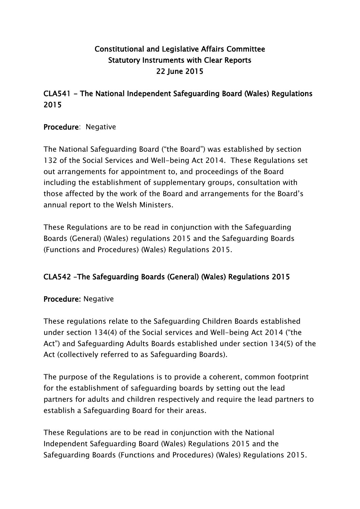# **Constitutional and Legislative Affairs Committee Statutory Instruments with Clear Reports 22 June 2015**

## **CLA541 - The National Independent Safeguarding Board (Wales) Regulations 2015**

#### **Procedure**: Negative

The National Safeguarding Board ("the Board") was established by section 132 of the Social Services and Well-being Act 2014. These Regulations set out arrangements for appointment to, and proceedings of the Board including the establishment of supplementary groups, consultation with those affected by the work of the Board and arrangements for the Board's annual report to the Welsh Ministers.

These Regulations are to be read in conjunction with the Safeguarding Boards (General) (Wales) regulations 2015 and the Safeguarding Boards (Functions and Procedures) (Wales) Regulations 2015.

### **CLA542 –The Safeguarding Boards (General) (Wales) Regulations 2015**

### **Procedure:** Negative

These regulations relate to the Safeguarding Children Boards established under section 134(4) of the Social services and Well-being Act 2014 ("the Act") and Safeguarding Adults Boards established under section 134(5) of the Act (collectively referred to as Safeguarding Boards).

The purpose of the Regulations is to provide a coherent, common footprint for the establishment of safeguarding boards by setting out the lead partners for adults and children respectively and require the lead partners to establish a Safeguarding Board for their areas.

These Regulations are to be read in conjunction with the National Independent Safeguarding Board (Wales) Regulations 2015 and the Safeguarding Boards (Functions and Procedures) (Wales) Regulations 2015.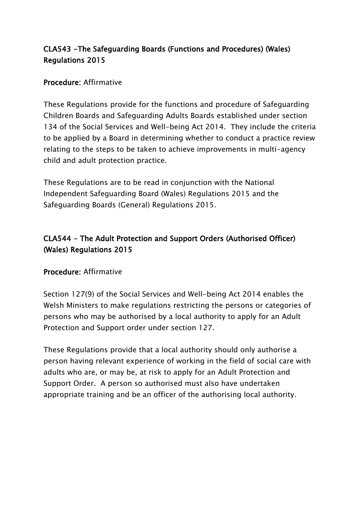## **CLA543 -The Safeguarding Boards (Functions and Procedures) (Wales) Regulations 2015**

### **Procedure:** Affirmative

These Regulations provide for the functions and procedure of Safeguarding Children Boards and Safeguarding Adults Boards established under section 134 of the Social Services and Well-being Act 2014. They include the criteria to be applied by a Board in determining whether to conduct a practice review relating to the steps to be taken to achieve improvements in multi-agency child and adult protection practice.

These Regulations are to be read in conjunction with the National Independent Safeguarding Board (Wales) Regulations 2015 and the Safeguarding Boards (General) Regulations 2015.

# **CLA544 - The Adult Protection and Support Orders (Authorised Officer) (Wales) Regulations 2015**

### **Procedure:** Affirmative

Section 127(9) of the Social Services and Well-being Act 2014 enables the Welsh Ministers to make regulations restricting the persons or categories of persons who may be authorised by a local authority to apply for an Adult Protection and Support order under section 127.

These Regulations provide that a local authority should only authorise a person having relevant experience of working in the field of social care with adults who are, or may be, at risk to apply for an Adult Protection and Support Order. A person so authorised must also have undertaken appropriate training and be an officer of the authorising local authority.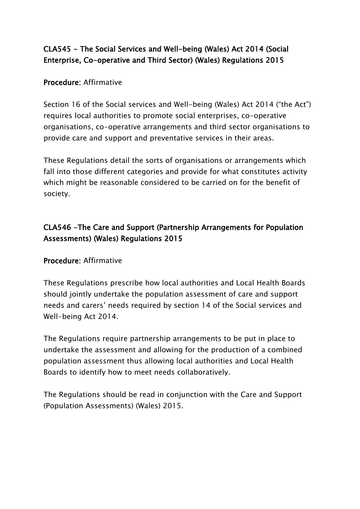## **CLA545 - The Social Services and Well-being (Wales) Act 2014 (Social Enterprise, Co-operative and Third Sector) (Wales) Regulations 2015**

### **Procedure:** Affirmative

Section 16 of the Social services and Well-being (Wales) Act 2014 ("the Act") requires local authorities to promote social enterprises, co-operative organisations, co-operative arrangements and third sector organisations to provide care and support and preventative services in their areas.

These Regulations detail the sorts of organisations or arrangements which fall into those different categories and provide for what constitutes activity which might be reasonable considered to be carried on for the benefit of society.

## **CLA546 -The Care and Support (Partnership Arrangements for Population Assessments) (Wales) Regulations 2015**

### **Procedure:** Affirmative

These Regulations prescribe how local authorities and Local Health Boards should jointly undertake the population assessment of care and support needs and carers' needs required by section 14 of the Social services and Well-being Act 2014.

The Regulations require partnership arrangements to be put in place to undertake the assessment and allowing for the production of a combined population assessment thus allowing local authorities and Local Health Boards to identify how to meet needs collaboratively.

The Regulations should be read in conjunction with the Care and Support (Population Assessments) (Wales) 2015.